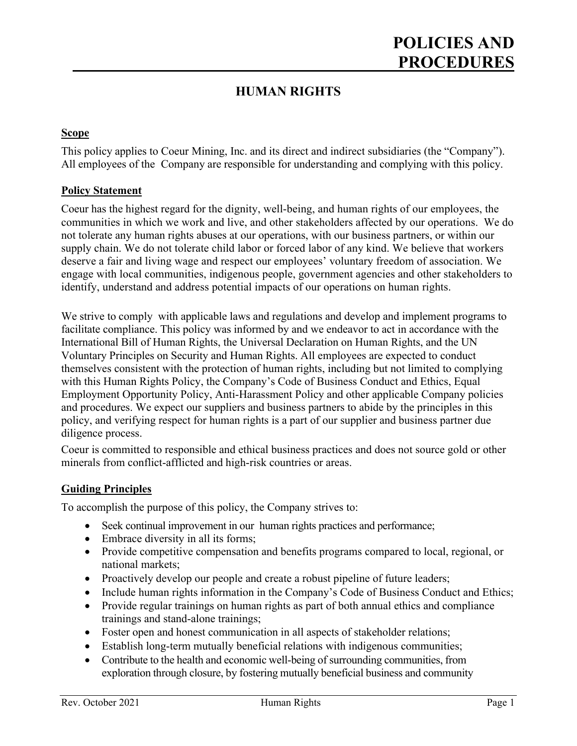# **POLICIES AND PROCEDURES**

### **HUMAN RIGHTS**

### **Scope**

This policy applies to Coeur Mining, Inc. and its direct and indirect subsidiaries (the "Company"). All employees of the Company are responsible for understanding and complying with this policy.

### **Policy Statement**

Coeur has the highest regard for the dignity, well-being, and human rights of our employees, the communities in which we work and live, and other stakeholders affected by our operations. We do not tolerate any human rights abuses at our operations, with our business partners, or within our supply chain. We do not tolerate child labor or forced labor of any kind. We believe that workers deserve a fair and living wage and respect our employees' voluntary freedom of association. We engage with local communities, indigenous people, government agencies and other stakeholders to identify, understand and address potential impacts of our operations on human rights.

We strive to comply with applicable laws and regulations and develop and implement programs to facilitate compliance. This policy was informed by and we endeavor to act in accordance with the International Bill of Human Rights, the Universal Declaration on Human Rights, and the UN Voluntary Principles on Security and Human Rights. All employees are expected to conduct themselves consistent with the protection of human rights, including but not limited to complying with this Human Rights Policy, the Company's Code of Business Conduct and Ethics, Equal Employment Opportunity Policy, Anti-Harassment Policy and other applicable Company policies and procedures. We expect our suppliers and business partners to abide by the principles in this policy, and verifying respect for human rights is a part of our supplier and business partner due diligence process.

Coeur is committed to responsible and ethical business practices and does not source gold or other minerals from conflict-afflicted and high-risk countries or areas.

#### **Guiding Principles**

To accomplish the purpose of this policy, the Company strives to:

- Seek continual improvement in our human rights practices and performance;
- Embrace diversity in all its forms;
- Provide competitive compensation and benefits programs compared to local, regional, or national markets;
- Proactively develop our people and create a robust pipeline of future leaders;
- Include human rights information in the Company's Code of Business Conduct and Ethics;
- Provide regular trainings on human rights as part of both annual ethics and compliance trainings and stand-alone trainings;
- Foster open and honest communication in all aspects of stakeholder relations;
- Establish long-term mutually beneficial relations with indigenous communities;
- Contribute to the health and economic well-being of surrounding communities, from exploration through closure, by fostering mutually beneficial business and community